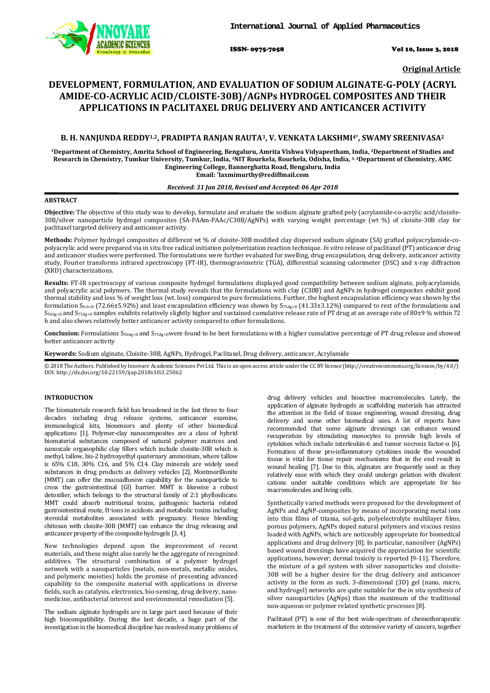

ISSN- 0975-7058 Vol 10, Issue 3, 2018

**Original Article** 

# **DEVELOPMENT, FORMULATION, AND EVALUATION OF SODIUM ALGINATE-G-POLY (ACRYL AMIDE-CO-ACRYLIC ACID/CLOISTE-30B)/AGNPs HYDROGEL COMPOSITES AND THEIR APPLICATIONS IN PACLITAXEL DRUG DELIVERY AND ANTICANCER ACTIVITY**

# **B. H. NANJUNDA REDDY1,2, PRADIPTA RANJAN RAUTA3, V. VENKATA LAKSHMI4\*, SWAMY SREENIVASA<sup>2</sup>**

**<sup>1</sup>Department of Chemistry, Amrita School of Engineering, Bengaluru, Amrita Vishwa Vidyapeetham, India, 2Department of Studies and Research in Chemistry, Tumkur University, Tumkur, India, 3NIT Rourkela, Rourkela, Odisha, India, 3, 4Department of Chemistry, AMC Engineering College, Bannerghatta Road, Bengaluru, India Email: \* laxmimurthy@rediffmail.com** 

# *Received: 31 Jan 2018, Revised and Accepted: 06 Apr 2018*

#### **ABSTRACT**

**Objective:** The objective of this study was to develop, formulate and evaluate the sodium alginate grafted poly (acrylamide-co-acrylic acid/cloisite-30B/silver nanoparticle hydrogel composites (SA-PAAm-PAAc/C30B/AgNPs) with varying weight percentage (wt %) of cloisite-30B clay for paclitaxel targeted delivery and anticancer activity.

**Methods:** Polymer hydrogel composites of different wt % of cloisite-30B modified clay dispersed sodium alginate (SA) grafted polyacrylamide-copolyacrylic acid were prepared via in situ free radical initiation polymerization reaction technique. *In vitro* release of paclitaxel (PT) anticancer drug and anticancer studies were performed. The formulations were further evaluated for swelling, drug encapsulation, drug delivery, anticancer activity study, Fourier transforms infrared spectroscopy (FT-IR), thermogravimetric (TGA), differential scanning calorimeter (DSC) and x-ray diffraction (XRD) characterizations.

**Results:** FT-IR spectroscopy of various composite hydrogel formulations displayed good compatibility between sodium alginate, polyacrylamide, and polyacrylic acid polymers. The thermal study reveals that the formulations with clay (C30B) and AgNPs in hydrogel composites exhibit good thermal stability and less % of weight loss (wt. loss) compared to pure formulations. Further, the highest encapsulation efficiency was shown by the formulation  $S_{0.0+D}$  (72.66±5.92%) and least encapsulation efficiency was shown by  $S_{75Ag+D}$  (41.33±3.12%) compared to rest of the formulations and  $S<sub>50Ag+D</sub>$  and  $S<sub>75Ag+D</sub>$  samples exhibits relatively slightly higher and sustained cumulative release rate of PT drug at an average rate of 80±9 % within 72 h and also shows relatively better anticancer activity compared to other formulations.

**Conclusion:** Formulations S50Ag+D and S75Ag+Dwere found to be best formulations with a higher cumulative percentage of PT drug release and showed better anticancer activity

**Keywords:** Sodium alginate, Cloisite-30B, AgNPs, Hydrogel, Paclitaxel, Drug delivery, anticancer, Acrylamide

© 2018 The Authors. Published by Innovare Academic Sciences Pvt Ltd. This is an open access article under the CC BY license (http://creativecommons.org/licenses/by/4.0/) DOI: http://dx.doi.org/10.22159/ijap.2018v10i3.25062

#### **INTRODUCTION**

The biomaterials research field has broadened in the last three to four decades including drug release systems, anticancer examine, immunological kits, biosensors and plenty of other biomedical applications [1]. Polymer-clay nanocomposites are a class of hybrid biomaterial substances composed of natural polymer matrices and nanoscale organophilic clay fillers which include cloisite-30B which is methyl, tallow, bis-2 hydroxyethyl quaternary ammonium, where tallow is 65% C18, 30% C16, and 5% C14. Clay minerals are widely used substances in drug products as delivery vehicles [2]. Montmorillonite (MMT) can offer the mucoadhesive capability for the nanoparticle to cross the gastrointestinal (GI) barrier. MMT is likewise a robust detoxifier, which belongs to the structural family of 2:1 phyllosilicate. MMT could absorb nutritional toxins, pathogenic bacteria related gastrointestinal route, H+ions in acidosis and metabolic toxins including steroidal metabolites associated with pregnancy. Hence blending chitosan with cloisite-30B (MMT) can enhance the drug releasing and anticancer property of the composite hydrogels [3, 4].

New technologies depend upon the improvement of recent materials, and these might also surely be the aggregate of recognized additives. The structural combination of a polymer hydrogel network with a nanoparticles (metals, non-metals, metallic oxides, and polymeric moieties) holds the promise of presenting advanced capability to the composite material with applications in diverse fields, such as catalysis, electronics, bio-sensing, drug delivery, nanomedicine, antibacterial interest and environmental remediation [5].

The sodium alginate hydrogels are in large part used because of their high biocompatibility. During the last decade, a huge part of the investigation in the biomedical discipline has resolved many problems of

drug delivery vehicles and bioactive macromolecules. Lately, the application of alginate hydrogels as scaffolding materials has attracted the attention in the field of tissue engineering, wound dressing, drug delivery and some other biomedical uses. A lot of reports have recommended that some alginate dressings can enhance wound recuperation by stimulating monocytes to provide high levels of cytokines which include interleukin-6 and tumor necrosis factor-α [6]. Formation of these pro-inflammatory cytokines inside the wounded tissue is vital for tissue repair mechanisms that in the end result in wound healing [7]. Due to this, alginates are frequently used as they relatively ease with which they could undergo gelation with divalent cations under suitable conditions which are appropriate for bio macromolecules and living cells.

Synthetically varied methods were proposed for the development of AgNPs and AgNP-composites by means of incorporating metal ions into thin films of titania, sol-gels, polyelectrolyte multilayer films, porous polymers, AgNPs doped natural polymers and viscous resins loaded with AgNPs, which are noticeably appropriate for biomedical applications and drug delivery [8]. In particular, nanosilver (AgNPs) based wound dressings have acquired the appreciation for scientific applications, however; dermal toxicity is reported [9-11]. Therefore, the mixture of a gel system with silver nanoparticles and cloisite-30B will be a higher desire for the drug delivery and anticancer activity in the form as such. 3-dimensional (3D) gel (nano, micro, and hydrogel) networks are quite suitable for the in situ synthesis of silver nanoparticles (AgNps) than the maximum of the traditional non-aqueous or polymer related synthetic processes [8].

Paclitaxel (PT) is one of the best wide-spectrum of chemotherapeutic marketers in the treatment of the extensive variety of cancers, together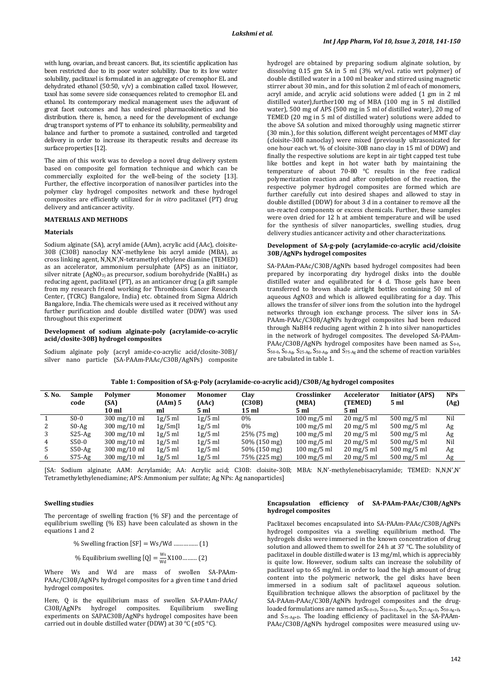with lung, ovarian, and breast cancers. But, its scientific application has been restricted due to its poor water solubility. Due to its low water solubility, paclitaxel is formulated in an aggregate of cremophor EL and dehydrated ethanol (50:50, v/v) a combination called taxol. However, taxol has some severe side consequences related to cremophor EL and ethanol. Its contemporary medical management uses the adjuvant of great facet outcomes and has undesired pharmacokinetics and bio distribution. there is, hence, a need for the development of exchange drug transport systems of PT to enhance its solubility, permeability and balance and further to promote a sustained, controlled and targeted delivery in order to increase its therapeutic results and decrease its surface properties [12].

The aim of this work was to develop a novel drug delivery system based on composite gel formation technique and which can be commercially exploited for the well-being of the society [13]. Further, the effective incorporation of nanosilver particles into the polymer clay hydrogel composites network and these hydrogel composites are efficiently utilized for *in vitro* paclitaxel (PT) drug delivery and anticancer activity.

## **MATERIALS AND METHODS**

#### **Materials**

Sodium alginate (SA), acryl amide (AAm), acrylic acid (AAc), cloisite-30B (C30B) nanoclay N,N'-methylene bis acryl amide (MBA), as cross linking agent, N,N,N',N-tetramethyl ethylene diamine (TEMED) as an accelerator, ammonium persulphate (APS) as an initiator, silver nitrate  $(AgNO<sub>3</sub>)$  as precursor, sodium borohydride (NaBH<sub>4</sub>) as reducing agent, paclitaxel (PT), as an anticancer drug (a gift sample from my research friend working for Thrombosis Cancer Research Center, (TCRC) Bangalore, India) etc. obtained from Sigma Aldrich Bangalore, India. The chemicals were used as it received without any further purification and double distilled water (DDW) was used throughout this experiment

#### **Development of sodium alginate-poly (acrylamide-co-acrylic acid/closite-30B) hydrogel composites**

Sodium alginate poly (acryl amide-co-acrylic acid/closite-30B)/ silver nano particle (SA-PAAm-PAAc/C30B/AgNPs) composite hydrogel are obtained by preparing sodium alginate solution, by dissolving 0.15 gm SA in 5 ml (3% wt/vol. ratio wrt polymer) of double distilled water in a 100 ml beaker and stirred using magnetic stirrer about 30 min., and for this solution 2 ml of each of monomers, acryl amide, and acrylic acid solutions were added (1 gm in 2 ml distilled water),further100 mg of MBA (100 mg in 5 ml distilled water), 500 mg of APS (500 mg in 5 ml of distilled water), 20 mg of TEMED (20 mg in 5 ml of distilled water) solutions were added to the above SA solution and mixed thoroughly using magnetic stirrer (30 min.), for this solution, different weight percentages of MMT clay (cloisite-30B nanoclay) were mixed (previously ultrasonicated for one hour each wt. % of cloisite-30B nano clay in 15 ml of DDW) and finally the respective solutions are kept in air tight capped test tube like bottles and kept in hot water bath by maintaining the temperature of about 70-80 °C results in the free radical polymerization reaction and after completion of the reaction, the respective polymer hydrogel composites are formed which are further carefully cut into desired shapes and allowed to stay in double distilled (DDW) for about 3 d in a container to remove all the un-reacted components or excess chemicals. Further, these samples were oven dried for 12 h at ambient temperature and will be used for the synthesis of silver nanoparticles, swelling studies, drug delivery studies anticancer activity and other characterizations.

#### **Development of SA-g-poly (acrylamide-co-acrylic acid/cloisite 30B/AgNPs hydrogel composites**

SA-PAAm-PAAc/C30B/AgNPs based hydrogel composites had been prepared by incorporating dry hydrogel disks into the double distilled water and equilibrated for 4 d. Those gels have been transferred to brown shade airtight bottles containing 50 ml of aqueous AgNO3 and which is allowed equilibrating for a day. This allows the transfer of silver ions from the solution into the hydrogel networks through ion exchange process. The silver ions in SA-PAAm-PAAc/C30B/AgNPs hydrogel composites had been reduced through NaBH4 reducing agent within 2 h into silver nanoparticles in the network of hydrogel composites. The developed SA-PAAm-PAAc/C30B/AgNPs hydrogel composites have been named as  $S_{0-0}$ , S50-0, S0-Ag, S25-Ag, S50-Ag, and S75-Ag and the scheme of reaction variables are tabulated in table 1.

| Table 1: Composition of SA-g-Poly (acrylamide-co-acrylic acid)/C30B/Ag hydrogel composites |  |  |
|--------------------------------------------------------------------------------------------|--|--|
|                                                                                            |  |  |

| S. No.         | Sample<br>code | Polymer<br>(SA)<br>10 <sub>ml</sub>  | Monomer<br>$(AAm)$ 5<br>ml | <b>Monomer</b><br>(AAc)<br>5 ml | Clav<br>(C30B)<br>15 ml | Crosslinker<br>(MBA)<br>5 ml        | Accelerator<br>(TEMED)<br>5 ml | <b>Initiator (APS)</b><br>5 <sub>m</sub> | <b>NPs</b><br>(Ag) |
|----------------|----------------|--------------------------------------|----------------------------|---------------------------------|-------------------------|-------------------------------------|--------------------------------|------------------------------------------|--------------------|
|                | $S0-0$         | $300 \,\mathrm{mg}/10 \,\mathrm{ml}$ | $1g/5$ ml                  | $1g/5$ ml                       | $0\%$                   | $100 \,\mathrm{mg}/5 \,\mathrm{ml}$ | $20 \text{ mg}/5 \text{ ml}$   | $500 \,\mathrm{mg}/5 \,\mathrm{ml}$      | Nil                |
| 2              | $SO-Ag$        | $300 \,\mathrm{mg}/10 \,\mathrm{ml}$ | $1g/5m$ []                 | $1g/5$ ml                       | $0\%$                   | $100 \,\mathrm{mg}/5 \,\mathrm{ml}$ | $20 \text{ mg}/5 \text{ ml}$   | $500 \,\mathrm{mg}/5 \,\mathrm{ml}$      | Ag                 |
| 3              | $S25-Ag$       | $300 \,\mathrm{mg}/10 \,\mathrm{ml}$ | $1g/5$ ml                  | $1g/5$ ml                       | $25\%$ (75 mg)          | $100 \,\mathrm{mg}/5 \,\mathrm{ml}$ | $20 \text{ mg}/5 \text{ ml}$   | $500 \,\mathrm{mg}/5 \,\mathrm{ml}$      | Ag                 |
| $\overline{4}$ | $S50-0$        | $300 \,\mathrm{mg}/10 \,\mathrm{ml}$ | $1g/5$ ml                  | $1g/5$ ml                       | $50\%$ (150 mg)         | $100 \,\mathrm{mg}/5 \,\mathrm{ml}$ | $20 \text{ mg}/5 \text{ ml}$   | $500 \,\mathrm{mg}/5 \,\mathrm{ml}$      | Nil                |
| 5              | $S50-Ag$       | $300 \,\mathrm{mg}/10 \,\mathrm{ml}$ | $1g/5$ ml                  | $1g/5$ ml                       | 50% (150 mg)            | $100 \,\mathrm{mg}/5 \,\mathrm{ml}$ | $20 \text{ mg}/5 \text{ ml}$   | $500 \,\mathrm{mg}/5 \,\mathrm{ml}$      | Ag                 |
| 6              | $S75-Ag$       | $300 \,\mathrm{mg}/10 \,\mathrm{ml}$ | 1g/5 ml                    | $1g/5$ ml                       | 75% (225 mg)            | $100 \,\mathrm{mg}/5 \,\mathrm{ml}$ | $20 \text{ mg}/5 \text{ ml}$   | $500 \,\mathrm{mg}/5 \,\mathrm{ml}$      | Ag                 |

[SA: Sodium alginate; AAM: Acrylamide; AA: Acrylic acid; C30B: cloisite-30B; MBA: N,N'-methylenebisacrylamide; TEMED: N,N,N',N' Tetramethylethylenediamine; APS: Ammonium per sulfate; Ag NPs: Ag nanoparticles]

## **Swelling studies**

The percentage of swelling fraction (% SF) and the percentage of equilibrium swelling (% ES) have been calculated as shown in the equations 1 and 2

% Swelling fraction -SF = Ws/Wd …………… (1)

% Equilibrium swelling  $[Q] = \frac{Ws}{Wd}$  $\frac{Ws}{Wd}$ X100……… (2)

Where Ws and Wd are mass of swollen SA-PAAm-PAAc/C30B/AgNPs hydrogel composites for a given time t and dried hydrogel composites.

Here, Q is the equilibrium mass of swollen SA-PAAm-PAAc/ C30B/AgNPs hydrogel composites. Equilibrium swelling experiments on SAPAC30B/AgNPs hydrogel composites have been carried out in double distilled water (DDW) at 30 °C (±05 °C).

## **Encapsulation efficiency of SA-PAAm-PAAc/C30B/AgNPs hydrogel composites**

Paclitaxel becomes encapsulated into SA-PAAm-PAAc/C30B/AgNPs hydrogel composites via a swelling equilibrium method. The hydrogels disks were immersed in the known concentration of drug solution and allowed them to swell for 24 h at 37 °C. The solubility of paclitaxel in double distilled water is 13 mg/ml, which is appreciably is quite low. However, sodium salts can increase the solubility of paclitaxel up to 65 mg/ml. in order to load the high amount of drug content into the polymeric network, the gel disks have been immersed in a sodium salt of paclitaxel aqueous solution. Equilibration technique allows the absorption of paclitaxel by the SA-PAAm-PAAc/C30B/AgNPs hydrogel composites and the drugloaded formulations are named as S<sub>0-0+D</sub>, S<sub>50-0+D</sub>, S<sub>0-Ag+D</sub>, S<sub>25-Ag+D</sub>, S<sub>50-Ag+D</sub>, and S75-Ag+D. The loading efficiency of paclitaxel in the SA-PAAm-PAAc/C30B/AgNPs hydrogel composites were measured using uv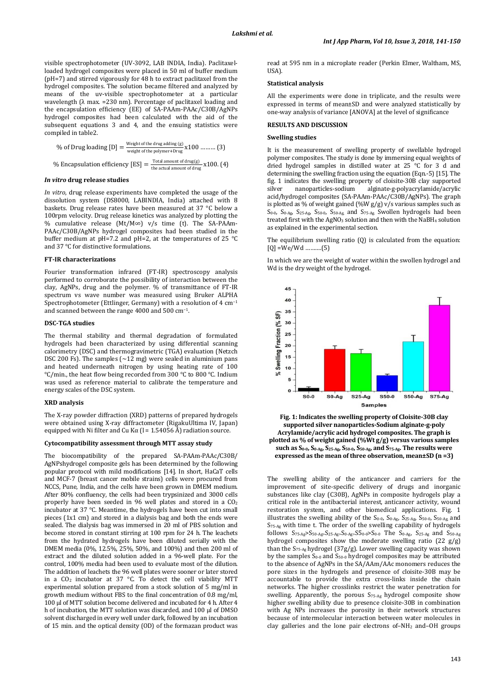visible spectrophotometer (UV-3092, LAB INDIA, India). Paclitaxelloaded hydrogel composites were placed in 50 ml of buffer medium (pH=7) and stirred vigorously for 48 h to extract paclitaxel from the hydrogel composites. The solution became filtered and analyzed by means of the uv-visible spectrophotometer at a particular wavelength ( $\lambda$  max. = 230 nm). Percentage of paclitaxel loading and the encapsulation efficiency (EE) of SA-PAAm-PAAc/C30B/AgNPs hydrogel composites had been calculated with the aid of the subsequent equations 3 and 4, and the ensuing statistics were compiled in table2.

% of Drug loading [D] = 
$$
\frac{\text{Weight of the drug adding (g)}}{\text{weight of the polymer+Drug}} \times 100 \dots \dots \dots \text{ (3)}
$$
  
% Encapsulation efficiency [ES] =  $\frac{\text{Total amount of drug(g)}}{\text{the actual amount of drug}} \times 100.$  (4)

#### *In vitro* **drug release studies**

*In vitro*, drug release experiments have completed the usage of the dissolution system (DS8000, LABINDIA, India) attached with 8 baskets. Drug release rates have been measured at 37 °C below a 100rpm velocity. Drug release kinetics was analyzed by plotting the % cumulative release (Mt/M∞) v/s time (t). The SA-PAAm-PAAc/C30B/AgNPs hydrogel composites had been studied in the buffer medium at pH=7.2 and pH=2, at the temperatures of 25 °C and 37 °C for distinctive formulations.

#### **FT-IR characterizations**

Fourier transformation infrared (FT-IR) spectroscopy analysis performed to corroborate the possibility of interaction between the clay, AgNPs, drug and the polymer. % of transmittance of FT-IR spectrum vs wave number was measured using Bruker ALPHA Spectrophotometer (Ettlinger, Germany) with a resolution of 4 cm−1 and scanned between the range 4000 and 500 cm−1.

#### **DSC-TGA studies**

The thermal stability and thermal degradation of formulated hydrogels had been characterized by using differential scanning calorimetry (DSC) and thermogravimetric (TGA) evaluation (Netzch DSC 200 Fs). The samples ( $\sim$ 12 mg) were sealed in aluminium pans and heated underneath nitrogen by using heating rate of 100 °C/min., the heat flow being recorded from 300 °C to 800 °C. Indium was used as reference material to calibrate the temperature and energy scales of the DSC system.

#### **XRD analysis**

The X-ray powder diffraction (XRD) patterns of prepared hydrogels were obtained using X-ray diffractometer (RigakuUltima IV, Japan) equipped with Ni filter and Cu K $\alpha$  (l = 1.54056 Å) radiation source.

#### **Cytocompatibility assessment through MTT assay study**

The biocompatibility of the prepared SA-PAAm-PAAc/C30B/ AgNPshydrogel composite gels has been determined by the following popular protocol with mild modifications [14]. In short, HaCaT cells and MCF-7 (breast cancer mobile strains) cells were procured from NCCS, Pune, India, and the cells have been grown in DMEM medium. After 80% confluency, the cells had been trypsinized and 3000 cells properly have been seeded in 96 well plates and stored in a CO<sub>2</sub> incubator at 37 °C. Meantime, the hydrogels have been cut into small pieces (1x1 cm) and stored in a dialysis bag and both the ends were sealed. The dialysis bag was immersed in 20 ml of PBS solution and become stored in constant stirring at 100 rpm for 24 h. The leachets from the hydrated hydrogels have been diluted serially with the DMEM media (0%, 12.5%, 25%, 50%, and 100%) and then 200 ml of extract and the diluted solution added in a 96-well plate. For the control, 100% media had been used to evaluate most of the dilution. The addition of leachets the 96 well plates were sooner or later stored in a  $CO<sub>2</sub>$  incubator at 37 °C. To detect the cell viability MTT experimental solution prepared from a stock solution of 5 mg/ml in growth medium without FBS to the final concentration of 0.8 mg/ml, 100 µl of MTT solution become delivered and incubated for 4 h. After 4 h of incubation, the MTT solution was discarded, and 100 µl of DMSO solvent discharged in every well under dark, followed by an incubation of 15 min. and the optical density (OD) of the formazan product was read at 595 nm in a microplate reader (Perkin Elmer, Waltham, MS, USA).

## **Statistical analysis**

All the experiments were done in triplicate, and the results were expressed in terms of mean±SD and were analyzed statistically by one-way analysis of variance [ANOVA] at the level of significance

## **RESULTS AND DISCUSSION**

#### **Swelling studies**

It is the measurement of swelling property of swellable hydrogel polymer composites. The study is done by immersing equal weights of dried hydrogel samples in distilled water at 25 °C for 3 d and determining the swelling fraction using the equation (Eqn.-5) [15]. The fig. 1 indicates the swelling property of cloisite-30B clay supported silver nanoparticles-sodium alginate-g-polyacrylamide/acrylic acid/hydrogel composites (SA-PAAm-PAAc/C30B/AgNPs). The graph is plotted as % of weight gained (%W  $g/g$ ) v/s various samples such as S0-0, S0-Ag, S25-Ag, S50-0, S50-Ag, and S75-Ag. Swollen hydrogels had been treated first with the AgNO<sub>3</sub> solution and then with the NaBH<sub>4</sub> solution as explained in the experimental section.

The equilibrium swelling ratio (Q) is calculated from the equation:  $[Q] = We/Wd$  .......... $(5)$ 

In which we are the weight of water within the swollen hydrogel and Wd is the dry weight of the hydrogel.



**Fig. 1: Indicates the swelling property of Cloisite-30B clay supported silver nanoparticles-Sodium alginate-g-poly Acrylamide/acrylic acid hydrogel composites. The graph is plotted as % of weight gained (%Wt g/g) versus various samples such as S0-0, S0-Ag, S25-Ag, S50-0, S50-Ag, and S75-Ag. The results were expressed as the mean of three observation, mean±SD (n =3)** 

The swelling ability of the anticancer and carriers for the improvement of site-specific delivery of drugs and inorganic substances like clay (C30B), AgNPs in composite hydrogels play a critical role in the antibacterial interest, anticancer activity, wound restoration system, and other biomedical applications. Fig. 1 illustrates the swelling ability of the  $S_{0-0}$ ,  $S_{0-Ag}$ ,  $S_{25-Ag}$ ,  $S_{50-0}$ ,  $S_{50-Ag}$ , and S75-Ag with time t. The order of the swelling capability of hydrogels follows  $S_{75-Ag} > S_{50-Ag} > S_{25-Ag} > S_{0-Ag} > S_{0-0} > S_{0-0}$  The  $S_{0-Ag}$ ,  $S_{25-Ag}$  and  $S_{50-Ag}$ hydrogel composites show the moderate swelling ratio  $(22 g/g)$ than the S<sub>75-Ag</sub> hydrogel (37g/g). Lower swelling capacity was shown by the samples S0-0 and S50-0 hydrogel composites may be attributed to the absence of AgNPs in the SA/AAm/AAc monomers reduces the pore sizes in the hydrogels and presence of cloisite-30B may be accountable to provide the extra cross-links inside the chain networks. The higher crosslinks restrict the water penetration for swelling. Apparently, the porous S<sub>75-Ag</sub> hydrogel composite show higher swelling ability due to presence cloisite-30B in combination with Ag NPs increases the porosity in their network structures because of intermolecular interaction between water molecules in clay galleries and the lone pair electrons of–NH2 and–OH groups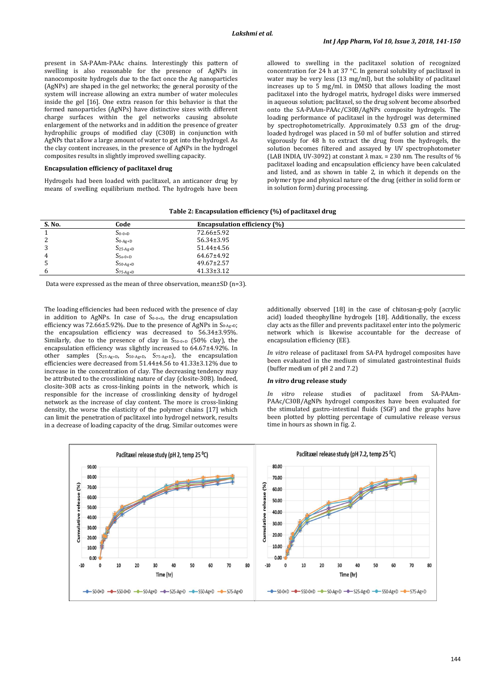present in SA-PAAm-PAAc chains. Interestingly this pattern of swelling is also reasonable for the presence of AgNPs in nanocomposite hydrogels due to the fact once the Ag nanoparticles (AgNPs) are shaped in the gel networks; the general porosity of the system will increase allowing an extra number of water molecules inside the gel [16]. One extra reason for this behavior is that the formed nanoparticles (AgNPs) have distinctive sizes with different charge surfaces within the gel networks causing absolute enlargement of the networks and in addition the presence of greater hydrophilic groups of modified clay (C30B) in conjunction with AgNPs that allow a large amount of water to get into the hydrogel. As the clay content increases, in the presence of AgNPs in the hydrogel composites results in slightly improved swelling capacity.

## **Encapsulation efficiency of paclitaxel drug**

Hydrogels had been loaded with paclitaxel, an anticancer drug by means of swelling equilibrium method. The hydrogels have been allowed to swelling in the paclitaxel solution of recognized concentration for 24 h at 37 °C. In general solubility of paclitaxel in water may be very less (13 mg/ml), but the solubility of paclitaxel increases up to 5 mg/ml. in DMSO that allows loading the most paclitaxel into the hydrogel matrix, hydrogel disks were immersed in aqueous solution; paclitaxel, so the drug solvent become absorbed onto the SA-PAAm-PAAc/C30B/AgNPs composite hydrogels. The loading performance of paclitaxel in the hydrogel was determined by spectrophotometrically. Approximately 0.53 gm of the drugloaded hydrogel was placed in 50 ml of buffer solution and stirred vigorously for 48 h to extract the drug from the hydrogels, the solution becomes filtered and assayed by UV spectrophotometer (LAB INDIA, UV-3092) at constant  $\lambda$  max. = 230 nm. The results of % paclitaxel loading and encapsulation efficiency have been calculated and listed, and as shown in table 2, in which it depends on the polymer type and physical nature of the drug (either in solid form or in solution form) during processing.

| Table 2: Encapsulation efficiency (%) of paclitaxel drug |  |  |
|----------------------------------------------------------|--|--|
|                                                          |  |  |

| S. No.             | Code          | <b>Encapsulation efficiency (%)</b> |  |
|--------------------|---------------|-------------------------------------|--|
|                    | $S_{0-0+D}$   | 72.66±5.92                          |  |
| $\mathcal{D}$<br>∠ | $S_{0-Ag+D}$  | 56.34±3.95                          |  |
| 3                  | $S_{25-Ag+D}$ | 51.44±4.56                          |  |
| 4                  | $S_{5o-0+D}$  | 64.67±4.92                          |  |
| Ъ                  | $S_{50-Ag+D}$ | $49.67 \pm 2.57$                    |  |
| 6                  | $S_{75-Ag+D}$ | $41.33 \pm 3.12$                    |  |
|                    |               |                                     |  |

Data were expressed as the mean of three observation, mean±SD (n=3).

The loading efficiencies had been reduced with the presence of clay in addition to AgNPs. In case of  $S_{0-0+D}$ , the drug encapsulation efficiency was 72.66±5.92%. Due to the presence of AgNPs in S<sub>0-Ag+D</sub>; the encapsulation efficiency was decreased to 56.34±3.95%. Similarly, due to the presence of clay in  $S_{50-0+D}$  (50% clay), the encapsulation efficiency was slightly increased to 64.67±4.92%. In other samples (S25-Ag+D, S50-Ag+D, S75-Ag+D), the encapsulation efficiencies were decreased from 51.44±4.56 to 41.33±3.12% due to increase in the concentration of clay. The decreasing tendency may be attributed to the crosslinking nature of clay (closite-30B). Indeed, closite-30B acts as cross-linking points in the network, which is responsible for the increase of crosslinking density of hydrogel network as the increase of clay content. The more is cross-linking density, the worse the elasticity of the polymer chains [17] which can limit the penetration of paclitaxel into hydrogel network, results in a decrease of loading capacity of the drug. Similar outcomes were

additionally observed [18] in the case of chitosan-g-poly (acrylic acid) loaded theophylline hydrogels [18]. Additionally, the excess clay acts as the filler and prevents paclitaxel enter into the polymeric network which is likewise accountable for the decrease of encapsulation efficiency (EE).

*In vitro* release of paclitaxel from SA-PA hydrogel composites have been evaluated in the medium of simulated gastrointestinal fluids (buffer medium of pH 2 and 7.2)

#### *In vitro* **drug release study**

*In vitro* release studies of paclitaxel from SA-PAAm-PAAc/C30B/AgNPs hydrogel composites have been evaluated for the stimulated gastro-intestinal fluids (SGF) and the graphs have been plotted by plotting percentage of cumulative release versus time in hours as shown in fig. 2.

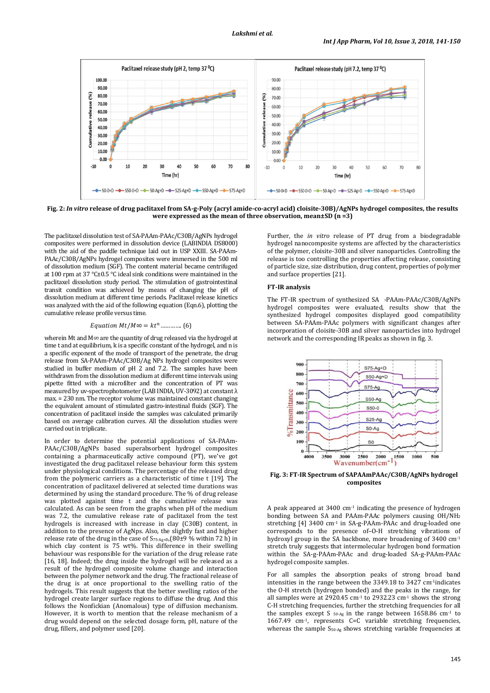

**Fig. 2:** *In vitro* **release of drug paclitaxel from SA-g-Poly (acryl amide-co-acryl acid) cloisite-30B)/AgNPs hydrogel composites, the results were expressed as the mean of three observation, mean±SD (n =3)** 

The paclitaxel dissolution test of SA-PAAm-PAAc/C30B/AgNPs hydrogel composites were performed in dissolution device (LABINDIA DS8000) with the aid of the paddle technique laid out in USP XXIII. SA-PAAm-PAAc/C30B/AgNPs hydrogel composites were immersed in the 500 ml of dissolution medium (SGF). The content material became centrifuged at 100 rpm at 37 °C±0.5 °C ideal sink conditions were maintained in the paclitaxel dissolution study period. The stimulation of gastrointestinal transit condition was achieved by means of changing the pH of dissolution medium at different time periods. Paclitaxel release kinetics was analyzed with the aid of the following equation (Eqn.6), plotting the cumulative release profile versus time.

## *Equation Mt/M* $\infty = kt^n$ .............. (6)

wherein Mt and M∞ are the quantity of drug released via the hydrogel at time t and at equilibrium, k is a specific constant of the hydrogel, and n is a specific exponent of the mode of transport of the penetrate, the drug release from SA-PAAm-PAAc/C30B/Ag NPs hydrogel composites were studied in buffer medium of pH 2 and 7.2. The samples have been withdrawn from the dissolution medium at different time intervals using pipette fitted with a microfilter and the concentration of PT was measured by uv-spectrophotometer (LAB INDIA, UV-3092) at constant  $\lambda$ max. = 230 nm. The receptor volume was maintained constant changing the equivalent amount of stimulated gastro-intestinal fluids (SGF). The concentration of paclitaxel inside the samples was calculated primarily based on average calibration curves. All the dissolution studies were carried out in triplicate.

In order to determine the potential applications of SA-PAAm-PAAc/C30B/AgNPs based superabsorbent hydrogel composites containing a pharmaceutically active compound (PT), we've got investigated the drug paclitaxel release behaviour form this system under physiological conditions. The percentage of the released drug from the polymeric carriers as a characteristic of time t [19]. The concentration of paclitaxel delivered at selected time durations was determined by using the standard procedure. The % of drug release was plotted against time t and the cumulative release was calculated. As can be seen from the graphs when pH of the medium was 7.2, the cumulative release rate of paclitaxel from the test hydrogels is increased with increase in clay (C30B) content, in addition to the presence of AgNps. Also, the slightly fast and higher release rate of the drug in the case of  $S_{75-Ag+D}$ ,  $(80±9\%$  within 72 h) in which clay content is 75 wt%. This difference in their swelling behaviour was responsible for the variation of the drug release rate [16, 18]. Indeed; the drug inside the hydrogel will be released as a result of the hydrogel composite volume change and interaction between the polymer network and the drug. The fractional release of the drug is at once proportional to the swelling ratio of the hydrogels. This result suggests that the better swelling ratios of the hydrogel create larger surface regions to diffuse the drug. And this follows the Nonfickian (Anomalous) type of diffusion mechanism. However, it is worth to mention that the release mechanism of a drug would depend on the selected dosage form, pH, nature of the drug, fillers, and polymer used [20].

Further, the *in vitro* release of PT drug from a biodegradable hydrogel nanocomposite systems are affected by the characteristics of the polymer, cloisite-30B and silver nanoparticles. Controlling the release is too controlling the properties affecting release, consisting of particle size, size distribution, drug content, properties of polymer and surface properties [21].

#### **FT-IR analysis**

The FT-IR spectrum of synthesized SA -PAAm-PAAc/C30B/AgNPs hydrogel composites were evaluated, results show that the synthesized hydrogel composites displayed good compatibility between SA-PAAm-PAAc polymers with significant changes after incorporation of cloisite-30B and silver nanoparticles into hydrogel network and the corresponding IR peaks as shown in fig. 3.



**Fig. 3: FT-IR Spectrum of SAPAAmPAAc/C30B/AgNPs hydrogel composites** 

A peak appeared at 3400 cm-1 indicating the presence of hydrogen bonding between SA and PAAm-PAAc polymers causing OH/NH<sup>2</sup> stretching [4] 3400 cm<sup>-1</sup> in SA-g-PAAm-PAAc and drug-loaded one corresponds to the presence of–O-H stretching vibrations of hydroxyl group in the SA backbone, more broadening of 3400 cm<sup>-1</sup> stretch truly suggests that intermolecular hydrogen bond formation within the SA-g-PAAm-PAAc and drug-loaded SA-g-PAAm-PAAc hydrogel composite samples.

For all samples the absorption peaks of strong broad band intensities in the range between the 3349.18 to 3427 cm-1indicates the O-H stretch (hydrogen bonded) and the peaks in the range, for all samples were at 2920.45 cm $^{-1}$  to 2932.23 cm $^{-1}$  shows the strong C-H stretching frequencies, further the stretching frequencies for all the samples except S  $_{50-Ag}$  in the range between 1658.86 cm<sup>-1</sup> to 1667.49 cm<sup>-1</sup>, represents C=C variable stretching frequencies, whereas the sample S<sub>50-Ag</sub> shows stretching variable frequencies at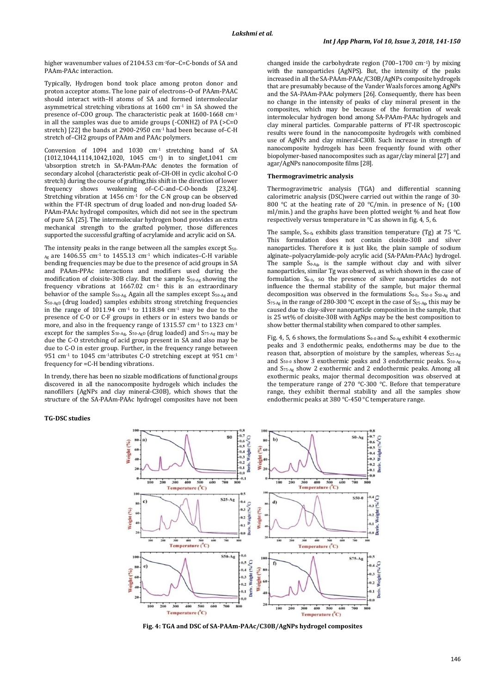higher wavenumber values of 2104.53 cm<sup>-1</sup>for–C=C-bonds of SA and PAAm-PAAc interaction.

Typically, Hydrogen bond took place among proton donor and proton acceptor atoms. The lone pair of electrons–O-of PAAm-PAAC should interact with–H atoms of SA and formed intermolecular asymmetrical stretching vibrations at 1600 cm-1 in SA showed the presence of–COO group. The characteristic peak at 1600-1668 cm-1 in all the samples was due to amide groups (-CONH2) of PA (>C=O stretch) [22] the bands at 2900-2950 cm-1 had been because of–C-H stretch of–CH2 groups of PAAm and PAAc polymers.

Conversion of 1094 and 1030 cm-1 stretching band of SA (1012,1044,1114,1042,1020, 1045 cm-1) in to singlet,1041 cm-<sup>1</sup>absorption stretch in SA-PAAm-PAAc denotes the formation of secondary alcohol (characteristic peak of–CH-OH in cyclic alcohol C-O stretch) during the course of grafting,this shift in the direction of lower frequency shows weakening of–C-C-and–C-O-bonds [23,24]. Stretching vibration at  $1456 \text{ cm}^{-1}$  for the C-N group can be observed within the FT-IR spectrum of drug loaded and non-drug loaded SA-PAAm-PAAc hydrogel composites, which did not see in the spectrum of pure SA [25]. The intermolecular hydrogen bond provides an extra mechanical strength to the grafted polymer, those differences supported the successful grafting of acrylamide and acrylic acid on SA.

The intensity peaks in the range between all the samples except  $S_{50-}$  $_{\text{Ag}}$  are 1406.55 cm<sup>-1</sup> to 1455.13 cm<sup>-1</sup> which indicates–C-H variable bending frequencies may be due to the presence of acid groups in SA and PAAm-PPAc interactions and modifiers used during the modification of cloisite-30B clay. But the sample S50-Ag showing the frequency vibrations at  $1667.02$  cm<sup>-1</sup> this is an extraordinary behavior of the sample S<sub>50-Ag</sub>, Again all the samples except S<sub>50-Ag</sub> and S50-AgD (drug loaded) samples exhibits strong stretching frequencies in the range of  $1011.94$  cm<sup>-1</sup> to  $1118.84$  cm<sup>-1</sup> may be due to the presence of C-O or C-F groups in ethers or in esters two bands or more, and also in the frequency range of 1315.57 cm-1 to 1323 cm-1 except for the samples S<sub>50-Ag</sub>, S<sub>50-AgD</sub> (drug loaded) and S<sub>75-Ag</sub> may be due the C-O stretching of acid group present in SA and also may be due to C-O in ester group. Further, in the frequency range between 951 cm<sup>-1</sup> to 1045 cm<sup>-1</sup>attributes C-O stretching except at 951 cm<sup>-1</sup> frequency for =C-H bending vibrations.

In trendy, there has been no sizable modifications of functional groups discovered in all the nanocomposite hydrogels which includes the nanofillers (AgNPs and clay mineral-C30B), which shows that the structure of the SA-PAAm-PAAc hydrogel composites have not been changed inside the carbohydrate region (700–1700 cm−1) by mixing with the nanoparticles (AgNPS). But, the intensity of the peaks increased in all the SA-PAAm-PAAc/C30B/AgNPs composite hydrogels that are presumably because of the Vander Waals forces among AgNPs and the SA-PAAm-PAAc polymers [26]. Consequently, there has been no change in the intensity of peaks of clay mineral present in the composites, which may be because of the formation of weak intermolecular hydrogen bond among SA-PAAm-PAAc hydrogels and clay mineral particles. Comparable patterns of FT-IR spectroscopic results were found in the nanocomposite hydrogels with combined use of AgNPs and clay mineral-C30B. Such increase in strength of nanocomposite hydrogels has been frequently found with other biopolymer-based nanocomposites such as agar/clay mineral [27] and agar/AgNPs nanocomposite films [28].

# **Thermogravimetric analysis**

Thermogravimetric analysis (TGA) and differential scanning calorimetric analysis (DSC)were carried out within the range of 30- 800 °C at the heating rate of 20 °C/min. in presence of N<sub>2</sub> (100 ml/min.) and the graphs have been plotted weight % and heat flow respectively versus temperature in °C as shown in fig. 4, 5, 6.

The sample,  $S_{0-0}$ , exhibits glass transition temperature (Tg) at 75 °C. This formulation does not contain cloisite-30B and silver nanoparticles. Therefore it is just like, the plain sample of sodium alginate–polyacrylamide-poly acrylic acid (SA-PAAm-PAAc) hydrogel. The sample  $S_{0-Ag}$ , is the sample without clay and with silver nanoparticles, similar Tg was observed, as which shown in the case of formulation  $S_{0-0}$ , so the presence of silver nanoparticles do not influence the thermal stability of the sample, but major thermal decomposition was observed in the formulations  $S_{0-0}$ ,  $S_{50-0}$   $S_{50-Ag}$  and S<sub>75-Ag</sub> in the range of 280-300 °C except in the case of S<sub>25-Ag</sub>, this may be caused due to clay-silver nanoparticle composition in the sample, that is 25 wt% of cloisite-30B with AgNps may be the best composition to show better thermal stability when compared to other samples.

Fig. 4, 5, 6 shows, the formulations  $S_{0-0}$  and  $S_{0-0}$  exhibit 4 exothermic peaks and 3 endothermic peaks, endotherms may be due to the reason that, absorption of moisture by the samples, whereas S25-Ag and S50-0 show 3 exothermic peaks and 3 endothermic peaks. S50-Ag and S75-Ag show 2 exothermic and 2 endothermic peaks. Among all exothermic peaks, major thermal decomposition was observed at the temperature range of 270 °C-300 °C. Before that temperature range, they exhibit thermal stability and all the samples show endothermic peaks at 380 °C-450 °C temperature range.

## **TG-DSC studies**



**Fig. 4: TGA and DSC of SA-PAAm-PAAc/C30B/AgNPs hydrogel composites**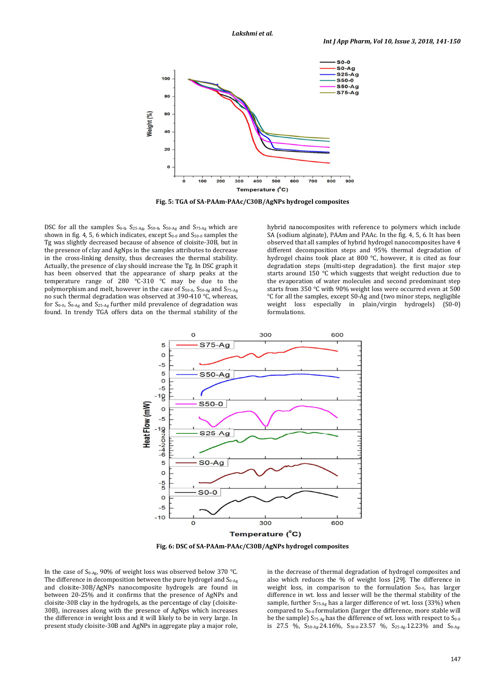

**Fig. 5: TGA of SA-PAAm-PAAc/C30B/AgNPs hydrogel composites** 

DSC for all the samples S<sub>0-0</sub>, S<sub>25-Ag</sub>, S<sub>50-0</sub>, S<sub>50-Ag</sub> and S<sub>75-Ag</sub> which are shown in fig. 4, 5, 6 which indicates, except  $S_{0-0}$  and  $S_{50-0}$  samples the Tg was slightly decreased because of absence of cloisite-30B, but in the presence of clay and AgNps in the samples attributes to decrease in the cross-linking density, thus decreases the thermal stability. Actually, the presence of clay should increase the Tg. In DSC graph it has been observed that the appearance of sharp peaks at the temperature range of 280 °C-310 °C may be due to the polymorphism and melt, however in the case of S50-0, S50-Ag and S75-Ag no such thermal degradation was observed at 390-410 °C, whereas, for  $S_{0-0}$ ,  $S_{0-Ag}$  and  $S_{25-Ag}$  further mild prevalence of degradation was found. In trendy TGA offers data on the thermal stability of the hybrid nanocomposites with reference to polymers which include SA (sodium alginate), PAAm and PAAc. In the fig. 4, 5, 6. It has been observed that all samples of hybrid hydrogel nanocomposites have 4 different decomposition steps and 95% thermal degradation of hydrogel chains took place at 800 °C, however, it is cited as four degradation steps (multi-step degradation). the first major step starts around 150 °C which suggests that weight reduction due to the evaporation of water molecules and second predominant step starts from 350 °C with 90% weight loss were occurred even at 500 °C for all the samples, except S0-Ag and (two minor steps, negligible weight loss especially in plain/virgin hydrogels) (S0-0) formulations.



**Fig. 6: DSC of SA-PAAm-PAAc/C30B/AgNPs hydrogel composites** 

In the case of  $S_{0-Ag}$ , 90% of weight loss was observed below 370 °C. The difference in decomposition between the pure hydrogel and  $S_{0-Ag}$ and cloisite-30B/AgNPs nanocomposite hydrogels are found in between 20-25% and it confirms that the presence of AgNPs and cloisite-30B clay in the hydrogels, as the percentage of clay (cloisite-30B), increases along with the presence of AgNps which increases the difference in weight loss and it will likely to be in very large. In present study cloisite-30B and AgNPs in aggregate play a major role, in the decrease of thermal degradation of hydrogel composites and also which reduces the % of weight loss [29]. The difference in weight loss, in comparison to the formulation  $S<sub>0-0</sub>$ , has larger difference in wt. loss and lesser will be the thermal stability of the sample, further  $S_{75-Ag}$  has a larger difference of wt. loss (33%) when compared to  $S_{0-0}$  formulation (larger the difference, more stable will be the sample)  $S_{75-Ag}$  has the difference of wt. loss with respect to  $S_{0-0}$ is 27.5 %,  $S_{50\text{-Ag}} 24.16\%$ ,  $S_{50\text{-}0} 23.57$  %,  $S_{25\text{-Ag}} 12.23\%$  and  $S_{0\text{-Ag}}$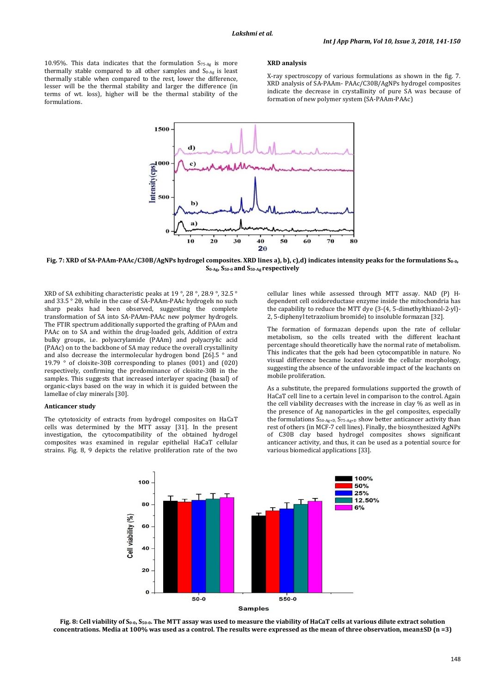10.95%. This data indicates that the formulation  $S_{75-Ag}$  is more thermally stable compared to all other samples and  $S_{0-Ag}$  is least thermally stable when compared to the rest, lower the difference, lesser will be the thermal stability and larger the difference (in terms of wt. loss), higher will be the thermal stability of the formulations.

#### **XRD analysis**

X-ray spectroscopy of various formulations as shown in the fig. 7. XRD analysis of SA-PAAm- PAAc/C30B/AgNPs hydrogel composites indicate the decrease in crystallinity of pure SA was because of formation of new polymer system (SA-PAAm-PAAc)



**Fig. 7: XRD of SA-PAAm-PAAc/C30B/AgNPs hydrogel composites. XRD lines a), b), c),d) indicates intensity peaks for the formulations S0-0, S0-Ag, S50-0 and S50-Ag respectively** 

XRD of SA exhibiting characteristic peaks at 19 °, 28 °, 28.9 °, 32.5 ° and 33.5 ° 2θ, while in the case of SA-PAAm-PAAc hydrogels no such sharp peaks had been observed, suggesting the complete transformation of SA into SA-PAAm-PAAc new polymer hydrogels. The FTIR spectrum additionally supported the grafting of PAAm and PAAc on to SA and within the drug-loaded gels, Addition of extra bulky groups, i.e. polyacrylamide (PAAm) and polyacrylic acid (PAAc) on to the backbone of SA may reduce the overall crystallinity and also decrease the intermolecular hydrogen bond [26].5 ° and 19.79 ° of cloisite-30B corresponding to planes (001) and (020) respectively, confirming the predominance of cloisite-30B in the samples. This suggests that increased interlayer spacing (basal) of organic-clays based on the way in which it is guided between the lamellae of clay minerals [30].

#### **Anticancer study**

The cytotoxicity of extracts from hydrogel composites on HaCaT cells was determined by the MTT assay [31]. In the present investigation, the cytocompatibility of the obtained hydrogel composites was examined in regular epithelial HaCaT cellular strains. Fig. 8, 9 depicts the relative proliferation rate of the two

cellular lines while assessed through MTT assay. NAD (P) Hdependent cell oxidoreductase enzyme inside the mitochondria has the capability to reduce the MTT dye (3-(4, 5-dimethylthiazol-2-yl)- 2, 5-diphenyl tetrazolium bromide) to insoluble formazan [32].

The formation of formazan depends upon the rate of cellular metabolism, so the cells treated with the different leachant percentage should theoretically have the normal rate of metabolism. This indicates that the gels had been cytocompatible in nature. No visual difference became located inside the cellular morphology, suggesting the absence of the unfavorable impact of the leachants on mobile proliferation.

As a substitute, the prepared formulations supported the growth of HaCaT cell line to a certain level in comparison to the control. Again the cell viability decreases with the increase in clay % as well as in the presence of Ag nanoparticles in the gel composites, especially the formulations S50-Ag+D, S75-Ag+D show better anticancer activity than rest of others (in MCF-7 cell lines). Finally, the biosynthesized AgNPs of C30B clay based hydrogel composites shows significant anticancer activity, and thus, it can be used as a potential source for various biomedical applications [33].



**Fig. 8: Cell viability of S0-0, S50-0. The MTT assay was used to measure the viability of HaCaT cells at various dilute extract solution concentrations. Media at 100% was used as a control. The results were expressed as the mean of three observation, mean±SD (n =3)**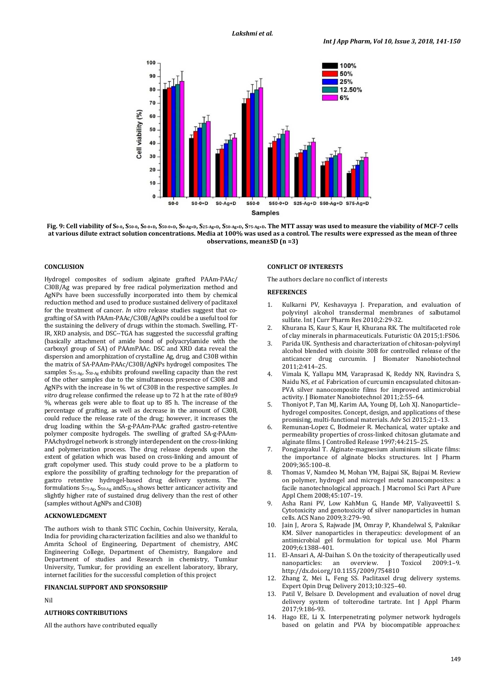

Fig. 9: Cell viability of S<sub>0</sub>.0, S<sub>50</sub>.0, S<sub>0</sub>.0+D, S<sub>50.0+D</sub>, S<sub>0.Ag+D</sub>, S<sub>25.Ag+D</sub>, S<sub>50.Ag+D</sub>, S<sub>75.Ag+D</sub>. The MTT assay was used to measure the viability of MCF-7 cells **at various dilute extract solution concentrations. Media at 100% was used as a control. The results were expressed as the mean of three observations, mean±SD (n =3)** 

# **CONCLUSION**

Hydrogel composites of sodium alginate grafted PAAm-PAAc/ C30B/Ag was prepared by free radical polymerization method and AgNPs have been successfully incorporated into them by chemical reduction method and used to produce sustained delivery of paclitaxel for the treatment of cancer. *In vitro* release studies suggest that cografting of SA with PAAm-PAAc/C30B/AgNPs could be a useful tool for the sustaining the delivery of drugs within the stomach. Swelling, FT-IR, XRD analysis, and DSC--TGA has suggested the successful grafting (basically attachment of amide bond of polyacrylamide with the carboxyl group of SA) of PAAmPAAc. DSC and XRD data reveal the dispersion and amorphization of crystalline Ag, drug, and C30B within the matrix of SA-PAAm-PAAc/C30B/AgNPs hydrogel composites. The samples S75-Ag, S50-Ag exhibits profound swelling capacity than the rest of the other samples due to the simultaneous presence of C30B and AgNPs with the increase in % wt of C30B in the respective samples. *In vitro* drug release confirmed the release up to 72 h at the rate of 80±9 %, whereas gels were able to float up to 85 h. The increase of the percentage of grafting, as well as decrease in the amount of C30B, could reduce the release rate of the drug; however, it increases the drug loading within the SA-g-PAAm-PAAc grafted gastro-retentive polymer composite hydrogels. The swelling of grafted SA-g-PAAm-PAAchydrogel network is strongly interdependent on the cross-linking and polymerization process. The drug release depends upon the extent of gelation which was based on cross-linking and amount of graft copolymer used. This study could prove to be a platform to explore the possibility of grafting technology for the preparation of gastro retentive hydrogel-based drug delivery systems. The formulations  $S_{75\text{-Ag}}$   $S_{50\text{-Ag}}$  and  $S_{25\text{-Ag}}$  shows better anticancer activity and slightly higher rate of sustained drug delivery than the rest of other (samples without AgNPs and C30B)

## **ACKNOWLEDGMENT**

The authors wish to thank STIC Cochin, Cochin University, Kerala, India for providing characterization facilities and also we thankful to Amrita School of Engineering, Department of chemistry, AMC Engineering College, Department of Chemistry, Bangalore and Department of studies and Research in chemistry, Tumkur University, Tumkur, for providing an excellent laboratory, library, internet facilities for the successful completion of this project

#### **FINANCIAL SUPPORT AND SPONSORSHIP**

Nil

# **AUTHORS CONTRIBUTIONS**

All the authors have contributed equally

## **CONFLICT OF INTERESTS**

The authors declare no conflict of interests

## **REFERENCES**

- 1. Kulkarni PV, Keshavayya J. Preparation, and evaluation of polyvinyl alcohol transdermal membranes of salbutamol sulfate. Int J Curr Pharm Res 2010;2:29-32.
- 2. Khurana IS, Kaur S, Kaur H, Khurana RK. The multifaceted role of clay minerals in pharmaceuticals. Futuristic OA 2015;1:FS06.
- 3. Parida UK. Synthesis and characterization of chitosan-polyvinyl alcohol blended with cloisite 30B for controlled release of the anticancer drug curcumin. J Biomater Nanobiotechnol 2011;2:414–25.
- 4. Vimala K, Yallapu MM, Varaprasad K, Reddy NN, Ravindra S, Naidu NS, *et al*. Fabrication of curcumin encapsulated chitosan-PVA silver nanocomposite films for improved antimicrobial activity. J Biomater Nanobiotechnol 2011;2:55–64.
- 5. Thoniyot P, Tan MJ, Karim AA, Young DJ, Loh XJ. Nanoparticle– hydrogel composites. Concept, design, and applications of these promising, multi-functional materials. Adv Sci 2015;2:1–13.
- 6. Remunan-Lopez C, Bodmeier R. Mechanical, water uptake and permeability properties of cross-linked chitosan glutamate and alginate films. J Controlled Release 1997;44:215–25.
- 7. Pongjanyakul T. Alginate-magnesium aluminium silicate films: the importance of alginate blocks structures. Int J Pharm 2009;365:100–8.
- 8. Thomas V, Namdeo M, Mohan YM, Bajpai SK, Bajpai M. Review on polymer, hydrogel and microgel metal nanocomposites: a facile nanotechnological approach. J Macromol Sci Part A Pure Appl Chem 2008;45:107–19.
- 9. Asha Rani PV, Low KahMun G, Hande MP, Valiyaveettil S. Cytotoxicity and genotoxicity of silver nanoparticles in human cells. ACS Nano 2009;3:279–90.
- 10. Jain J, Arora S, Rajwade JM, Omray P, Khandelwal S, Paknikar KM. Silver nanoparticles in therapeutics: development of an antimicrobial gel formulation for topical use. Mol Pharm 2009;6:1388–401.
- 11. El-Ansari A, Al-Daihan S. On the toxicity of therapeutically used nanoparticles: an overview. J Toxicol 2009:1–9. http://dx.doi.org/10.1155/2009/754810
- 12. Zhang Z, Mei L, Feng SS. Paclitaxel drug delivery systems. Expert Opin Drug Delivery 2013;10:325–40.
- 13. Patil V, Belsare D. Development and evaluation of novel drug delivery system of tolterodine tartrate. Int J Appl Pharm 2017;9:186-93.
- 14. Hago EE, Li X. Interpenetrating polymer network hydrogels based on gelatin and PVA by biocompatible approaches: